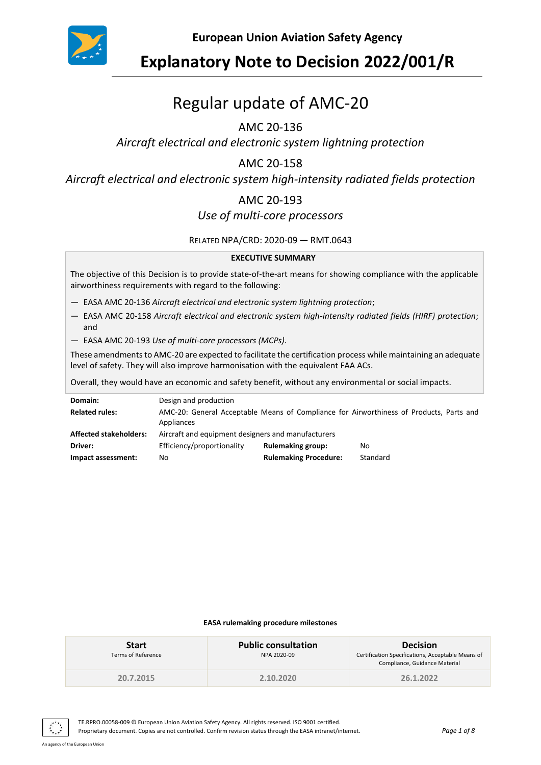

## **Explanatory Note to Decision 2022/001/R**

# Regular update of AMC-20

## AMC 20-136

*Aircraft electrical and electronic system lightning protection*

## AMC 20-158

*Aircraft electrical and electronic system high-intensity radiated fields protection*

## AMC 20-193

## *Use of multi-core processors*

RELATED NPA/CRD: 2020-09 — RMT.0643

#### **EXECUTIVE SUMMARY**

The objective of this Decision is to provide state-of-the-art means for showing compliance with the applicable airworthiness requirements with regard to the following:

- EASA AMC 20-136 *Aircraft electrical and electronic system lightning protection*;
- EASA AMC 20-158 *Aircraft electrical and electronic system high-intensity radiated fields (HIRF) protection*; and
- EASA AMC 20-193 *Use of multi-core processors (MCPs)*.

These amendments to AMC-20 are expected to facilitate the certification process while maintaining an adequate level of safety. They will also improve harmonisation with the equivalent FAA ACs.

Overall, they would have an economic and safety benefit, without any environmental or social impacts.

| Domain:                       | Design and production                              |                              |                                                                                         |
|-------------------------------|----------------------------------------------------|------------------------------|-----------------------------------------------------------------------------------------|
| <b>Related rules:</b>         | Appliances                                         |                              | AMC-20: General Acceptable Means of Compliance for Airworthiness of Products, Parts and |
| <b>Affected stakeholders:</b> | Aircraft and equipment designers and manufacturers |                              |                                                                                         |
| Driver:                       | Efficiency/proportionality                         | <b>Rulemaking group:</b>     | No                                                                                      |
| Impact assessment:            | No                                                 | <b>Rulemaking Procedure:</b> | Standard                                                                                |

#### **EASA rulemaking procedure milestones**

| <b>Start</b><br>Terms of Reference | <b>Public consultation</b><br>NPA 2020-09 | <b>Decision</b><br>Certification Specifications, Acceptable Means of<br>Compliance, Guidance Material |
|------------------------------------|-------------------------------------------|-------------------------------------------------------------------------------------------------------|
| 20.7.2015                          | 2.10.2020                                 | 26.1.2022                                                                                             |

TE.RPRO.00058-009 © European Union Aviation Safety Agency. All rights reserved. ISO 9001 certified. Proprietary document. Copies are not controlled. Confirm revision status through the EASA intranet/internet. *Page 1 of 8*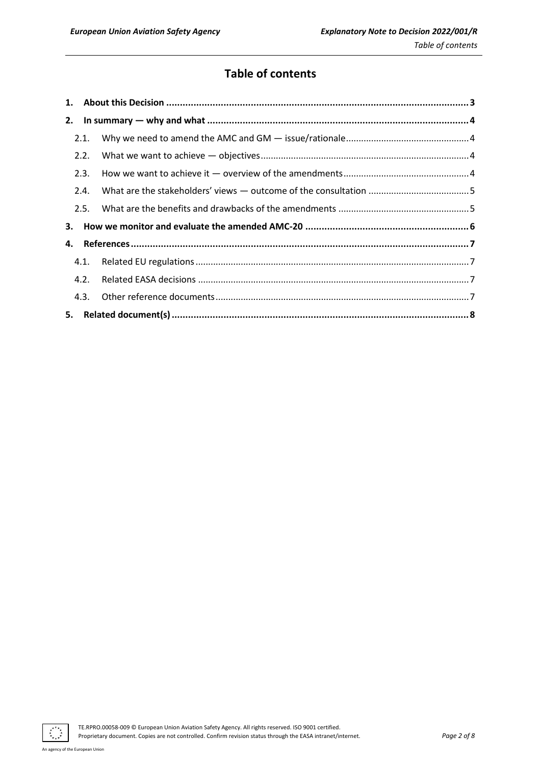## **Table of contents**

|    | 2.1. |  |
|----|------|--|
|    | 2.2. |  |
|    | 2.3. |  |
|    | 2.4. |  |
|    | 2.5. |  |
| 3. |      |  |
| 4. |      |  |
|    | 4.1. |  |
|    | 4.2. |  |
|    | 4.3. |  |
|    |      |  |

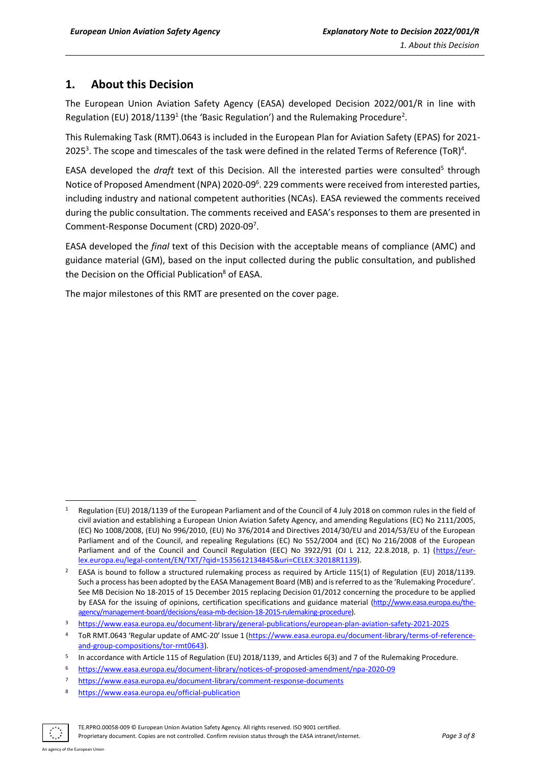## <span id="page-2-0"></span>**1. About this Decision**

The European Union Aviation Safety Agency (EASA) developed Decision 2022/001/R in line with Regulation (EU) 2018/1139<sup>1</sup> (the 'Basic Regulation') and the Rulemaking Procedure<sup>2</sup>.

This Rulemaking Task (RMT).0643 is included in the European Plan for Aviation Safety (EPAS) for 2021- 2025<sup>3</sup>. The scope and timescales of the task were defined in the related Terms of Reference (ToR)<sup>4</sup>.

EASA developed the *draft* text of this Decision. All the interested parties were consulted<sup>5</sup> through Notice of Proposed Amendment (NPA) 2020-09<sup>6</sup>. 229 comments were received from interested parties, including industry and national competent authorities (NCAs). EASA reviewed the comments received during the public consultation. The comments received and EASA's responses to them are presented in Comment-Response Document (CRD) 2020-09 7 .

EASA developed the *final* text of this Decision with the acceptable means of compliance (AMC) and guidance material (GM), based on the input collected during the public consultation, and published the Decision on the Official Publication<sup>8</sup> of EASA.

The major milestones of this RMT are presented on the cover page.

<sup>8</sup> <https://www.easa.europa.eu/official-publication>



TE.RPRO.00058-009 © European Union Aviation Safety Agency. All rights reserved. ISO 9001 certified.

Regulation (EU) 2018/1139 of the European Parliament and of the Council of 4 July 2018 on common rules in the field of civil aviation and establishing a European Union Aviation Safety Agency, and amending Regulations (EC) No 2111/2005, (EC) No 1008/2008, (EU) No 996/2010, (EU) No 376/2014 and Directives 2014/30/EU and 2014/53/EU of the European Parliament and of the Council, and repealing Regulations (EC) No 552/2004 and (EC) No 216/2008 of the European Parliament and of the Council and Council Regulation (EEC) No 3922/91 (OJ L 212, 22.8.2018, p. 1) [\(https://eur](https://eur-lex.europa.eu/legal-content/EN/TXT/?qid=1535612134845&uri=CELEX:32018R1139)[lex.europa.eu/legal-content/EN/TXT/?qid=1535612134845&uri=CELEX:32018R1139\)](https://eur-lex.europa.eu/legal-content/EN/TXT/?qid=1535612134845&uri=CELEX:32018R1139).

<sup>&</sup>lt;sup>2</sup> EASA is bound to follow a structured rulemaking process as required by Article 115(1) of Regulation (EU) 2018/1139. Such a process has been adopted by the EASA Management Board (MB) and is referred to as the 'Rulemaking Procedure'. See MB Decision No 18-2015 of 15 December 2015 replacing Decision 01/2012 concerning the procedure to be applied by EASA for the issuing of opinions, certification specifications and guidance material [\(http://www.easa.europa.eu/the](http://www.easa.europa.eu/the-agency/management-board/decisions/easa-mb-decision-18-2015-rulemaking-procedure)[agency/management-board/decisions/easa-mb-decision-18-2015-rulemaking-procedure\)](http://www.easa.europa.eu/the-agency/management-board/decisions/easa-mb-decision-18-2015-rulemaking-procedure).

<sup>3</sup> <https://www.easa.europa.eu/document-library/general-publications/european-plan-aviation-safety-2021-2025>

<sup>4</sup> ToR RMT.0643 'Regular update of AMC-20' Issue 1 ([https://www.easa.europa.eu/document-library/terms-of-reference](https://www.easa.europa.eu/document-library/terms-of-reference-and-group-compositions/tor-rmt0643)[and-group-compositions/tor-rmt0643\)](https://www.easa.europa.eu/document-library/terms-of-reference-and-group-compositions/tor-rmt0643).

<sup>5</sup> In accordance with Article 115 of Regulation (EU) 2018/1139, and Articles 6(3) and 7 of the Rulemaking Procedure.

<sup>6</sup> <https://www.easa.europa.eu/document-library/notices-of-proposed-amendment/npa-2020-09>

<sup>7</sup> <https://www.easa.europa.eu/document-library/comment-response-documents>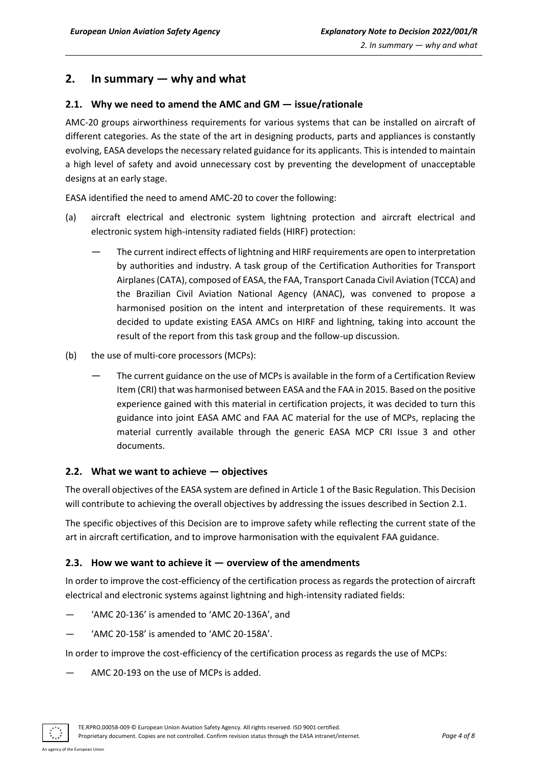## <span id="page-3-0"></span>**2. In summary — why and what**

#### <span id="page-3-1"></span>**2.1. Why we need to amend the AMC and GM — issue/rationale**

AMC-20 groups airworthiness requirements for various systems that can be installed on aircraft of different categories. As the state of the art in designing products, parts and appliances is constantly evolving, EASA develops the necessary related guidance for its applicants. This is intended to maintain a high level of safety and avoid unnecessary cost by preventing the development of unacceptable designs at an early stage.

EASA identified the need to amend AMC-20 to cover the following:

- (a) aircraft electrical and electronic system lightning protection and aircraft electrical and electronic system high-intensity radiated fields (HIRF) protection:
	- The current indirect effects of lightning and HIRF requirements are open to interpretation by authorities and industry. A task group of the Certification Authorities for Transport Airplanes (CATA), composed of EASA, the FAA, Transport Canada Civil Aviation (TCCA) and the Brazilian Civil Aviation National Agency (ANAC), was convened to propose a harmonised position on the intent and interpretation of these requirements. It was decided to update existing EASA AMCs on HIRF and lightning, taking into account the result of the report from this task group and the follow-up discussion.
- (b) the use of multi-core processors (MCPs):
	- The current guidance on the use of MCPs is available in the form of a Certification Review Item (CRI) that was harmonised between EASA and the FAA in 2015. Based on the positive experience gained with this material in certification projects, it was decided to turn this guidance into joint EASA AMC and FAA AC material for the use of MCPs, replacing the material currently available through the generic EASA MCP CRI Issue 3 and other documents.

#### <span id="page-3-2"></span>**2.2. What we want to achieve — objectives**

The overall objectives of the EASA system are defined in Article 1 of the Basic Regulation. This Decision will contribute to achieving the overall objectives by addressing the issues described in Section 2.1.

The specific objectives of this Decision are to improve safety while reflecting the current state of the art in aircraft certification, and to improve harmonisation with the equivalent FAA guidance.

#### <span id="page-3-3"></span>**2.3. How we want to achieve it — overview of the amendments**

In order to improve the cost-efficiency of the certification process as regards the protection of aircraft electrical and electronic systems against lightning and high-intensity radiated fields:

- 'AMC 20-136' is amended to 'AMC 20-136A', and
- 'AMC 20-158' is amended to 'AMC 20-158A'.

In order to improve the cost-efficiency of the certification process as regards the use of MCPs:

— AMC 20-193 on the use of MCPs is added.

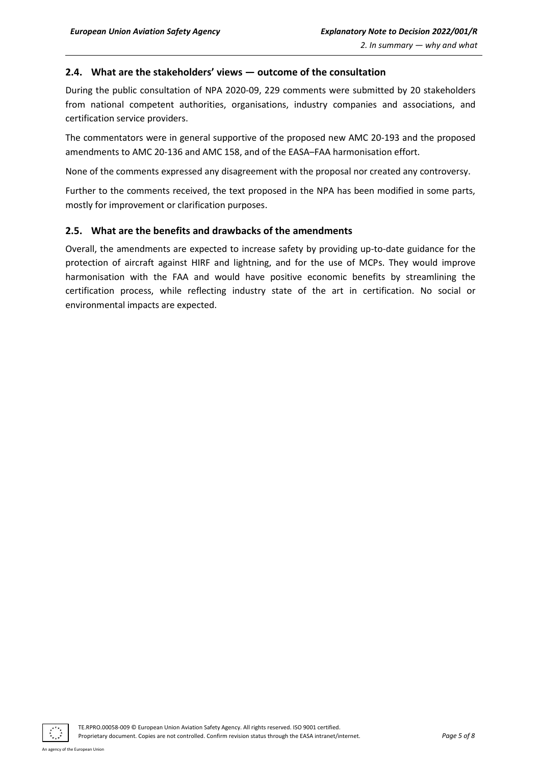#### <span id="page-4-0"></span>**2.4. What are the stakeholders' views — outcome of the consultation**

During the public consultation of NPA [2020-09,](https://www.easa.europa.eu/document-library/notices-of-proposed-amendment/npa-2020-09) 229 comments were submitted by 20 stakeholders from national competent authorities, organisations, industry companies and associations, and certification service providers.

The commentators were in general supportive of the proposed new AMC 20-193 and the proposed amendments to AMC 20-136 and AMC 158, and of the EASA–FAA harmonisation effort.

None of the comments expressed any disagreement with the proposal nor created any controversy.

Further to the comments received, the text proposed in the NPA has been modified in some parts, mostly for improvement or clarification purposes.

#### <span id="page-4-1"></span>**2.5. What are the benefits and drawbacks of the amendments**

Overall, the amendments are expected to increase safety by providing up-to-date guidance for the protection of aircraft against HIRF and lightning, and for the use of MCPs. They would improve harmonisation with the FAA and would have positive economic benefits by streamlining the certification process, while reflecting industry state of the art in certification. No social or environmental impacts are expected.

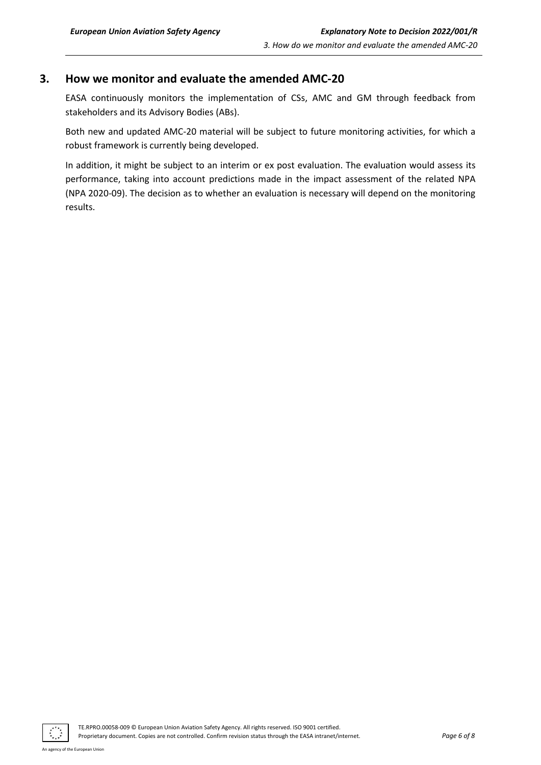### <span id="page-5-0"></span>**3. How we monitor and evaluate the amended AMC-20**

EASA continuously monitors the implementation of CSs, AMC and GM through feedback from stakeholders and its Advisory Bodies (ABs).

Both new and updated AMC-20 material will be subject to future monitoring activities, for which a robust framework is currently being developed.

In addition, it might be subject to an interim or ex post evaluation. The evaluation would assess its performance, taking into account predictions made in the impact assessment of the related NPA (NPA 2020-09). The decision as to whether an evaluation is necessary will depend on the monitoring results.

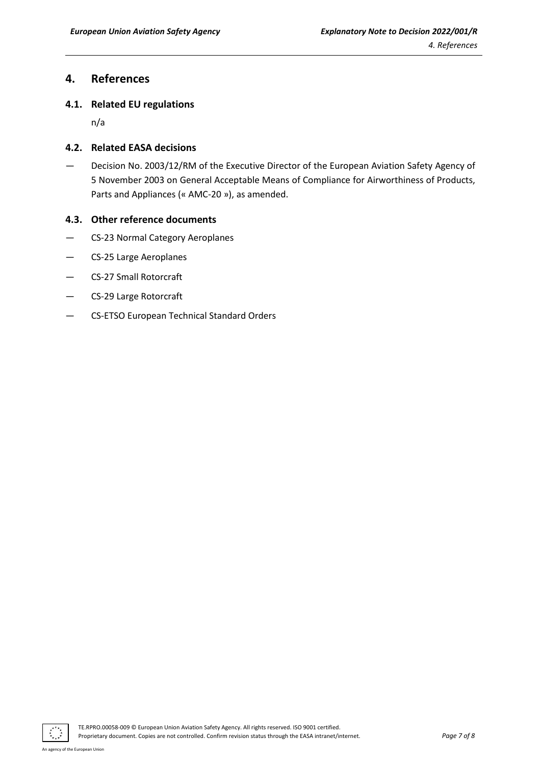### <span id="page-6-0"></span>**4. References**

#### <span id="page-6-1"></span>**4.1. Related EU regulations**

n/a

#### <span id="page-6-2"></span>**4.2. Related EASA decisions**

— Decision No. 2003/12/RM of the Executive Director of the European Aviation Safety Agency of 5 November 2003 on General Acceptable Means of Compliance for Airworthiness of Products, Parts and Appliances (« AMC-20 »), as amended.

#### <span id="page-6-3"></span>**4.3. Other reference documents**

- CS-23 Normal Category Aeroplanes
- CS-25 Large Aeroplanes
- CS-27 Small Rotorcraft
- CS-29 Large Rotorcraft
- CS-ETSO European Technical Standard Orders